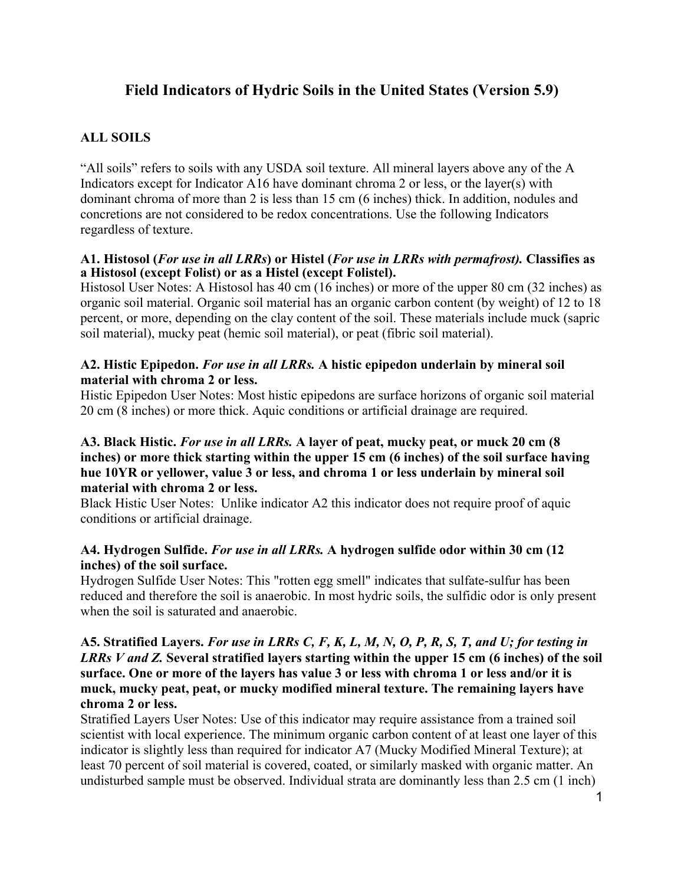# **Field Indicators of Hydric Soils in the United States (Version 5.9)**

# **ALL SOILS**

"All soils" refers to soils with any USDA soil texture. All mineral layers above any of the A Indicators except for Indicator A16 have dominant chroma 2 or less, or the layer(s) with dominant chroma of more than 2 is less than 15 cm (6 inches) thick. In addition, nodules and concretions are not considered to be redox concentrations. Use the following Indicators regardless of texture.

### **A1. Histosol (***For use in all LRRs***) or Histel (***For use in LRRs with permafrost).* **Classifies as a Histosol (except Folist) or as a Histel (except Folistel).**

Histosol User Notes: A Histosol has 40 cm (16 inches) or more of the upper 80 cm (32 inches) as organic soil material. Organic soil material has an organic carbon content (by weight) of 12 to 18 percent, or more, depending on the clay content of the soil. These materials include muck (sapric soil material), mucky peat (hemic soil material), or peat (fibric soil material).

# **A2. Histic Epipedon.** *For use in all LRRs.* **A histic epipedon underlain by mineral soil material with chroma 2 or less.**

Histic Epipedon User Notes: Most histic epipedons are surface horizons of organic soil material 20 cm (8 inches) or more thick. Aquic conditions or artificial drainage are required.

# **A3. Black Histic.** *For use in all LRRs.* **A layer of peat, mucky peat, or muck 20 cm (8 inches) or more thick starting within the upper 15 cm (6 inches) of the soil surface having hue 10YR or yellower, value 3 or less, and chroma 1 or less underlain by mineral soil material with chroma 2 or less.**

Black Histic User Notes: Unlike indicator A2 this indicator does not require proof of aquic conditions or artificial drainage.

# **A4. Hydrogen Sulfide.** *For use in all LRRs.* **A hydrogen sulfide odor within 30 cm (12 inches) of the soil surface.**

Hydrogen Sulfide User Notes: This "rotten egg smell" indicates that sulfate-sulfur has been reduced and therefore the soil is anaerobic. In most hydric soils, the sulfidic odor is only present when the soil is saturated and anaerobic.

# **A5. Stratified Layers.** *For use in LRRs C, F, K, L, M, N, O, P, R, S, T, and U; for testing in LRRs V and Z.* **Several stratified layers starting within the upper 15 cm (6 inches) of the soil surface. One or more of the layers has value 3 or less with chroma 1 or less and/or it is muck, mucky peat, peat, or mucky modified mineral texture. The remaining layers have chroma 2 or less.**

Stratified Layers User Notes: Use of this indicator may require assistance from a trained soil scientist with local experience. The minimum organic carbon content of at least one layer of this indicator is slightly less than required for indicator A7 (Mucky Modified Mineral Texture); at least 70 percent of soil material is covered, coated, or similarly masked with organic matter. An undisturbed sample must be observed. Individual strata are dominantly less than 2.5 cm (1 inch)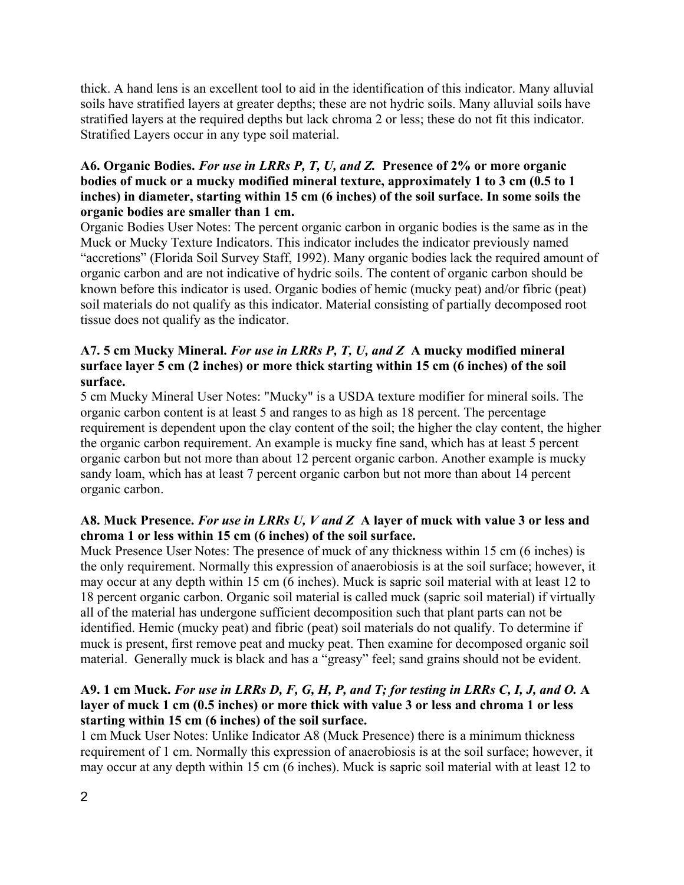thick. A hand lens is an excellent tool to aid in the identification of this indicator. Many alluvial soils have stratified layers at greater depths; these are not hydric soils. Many alluvial soils have stratified layers at the required depths but lack chroma 2 or less; these do not fit this indicator. Stratified Layers occur in any type soil material.

# **A6. Organic Bodies.** *For use in LRRs P, T, U, and Z.* **Presence of 2% or more organic bodies of muck or a mucky modified mineral texture, approximately 1 to 3 cm (0.5 to 1 inches) in diameter, starting within 15 cm (6 inches) of the soil surface. In some soils the organic bodies are smaller than 1 cm.**

Organic Bodies User Notes: The percent organic carbon in organic bodies is the same as in the Muck or Mucky Texture Indicators. This indicator includes the indicator previously named "accretions" (Florida Soil Survey Staff, 1992). Many organic bodies lack the required amount of organic carbon and are not indicative of hydric soils. The content of organic carbon should be known before this indicator is used. Organic bodies of hemic (mucky peat) and/or fibric (peat) soil materials do not qualify as this indicator. Material consisting of partially decomposed root tissue does not qualify as the indicator.

### **A7. 5 cm Mucky Mineral.** *For use in LRRs P, T, U, and Z* **A mucky modified mineral surface layer 5 cm (2 inches) or more thick starting within 15 cm (6 inches) of the soil surface.**

5 cm Mucky Mineral User Notes: "Mucky" is a USDA texture modifier for mineral soils. The organic carbon content is at least 5 and ranges to as high as 18 percent. The percentage requirement is dependent upon the clay content of the soil; the higher the clay content, the higher the organic carbon requirement. An example is mucky fine sand, which has at least 5 percent organic carbon but not more than about 12 percent organic carbon. Another example is mucky sandy loam, which has at least 7 percent organic carbon but not more than about 14 percent organic carbon.

# **A8. Muck Presence.** *For use in LRRs U, V and Z* **A layer of muck with value 3 or less and chroma 1 or less within 15 cm (6 inches) of the soil surface.**

Muck Presence User Notes: The presence of muck of any thickness within 15 cm (6 inches) is the only requirement. Normally this expression of anaerobiosis is at the soil surface; however, it may occur at any depth within 15 cm (6 inches). Muck is sapric soil material with at least 12 to 18 percent organic carbon. Organic soil material is called muck (sapric soil material) if virtually all of the material has undergone sufficient decomposition such that plant parts can not be identified. Hemic (mucky peat) and fibric (peat) soil materials do not qualify. To determine if muck is present, first remove peat and mucky peat. Then examine for decomposed organic soil material. Generally muck is black and has a "greasy" feel; sand grains should not be evident.

# **A9. 1 cm Muck.** *For use in LRRs D, F, G, H, P, and T; for testing in LRRs C, I, J, and O.* **A layer of muck 1 cm (0.5 inches) or more thick with value 3 or less and chroma 1 or less starting within 15 cm (6 inches) of the soil surface.**

1 cm Muck User Notes: Unlike Indicator A8 (Muck Presence) there is a minimum thickness requirement of 1 cm. Normally this expression of anaerobiosis is at the soil surface; however, it may occur at any depth within 15 cm (6 inches). Muck is sapric soil material with at least 12 to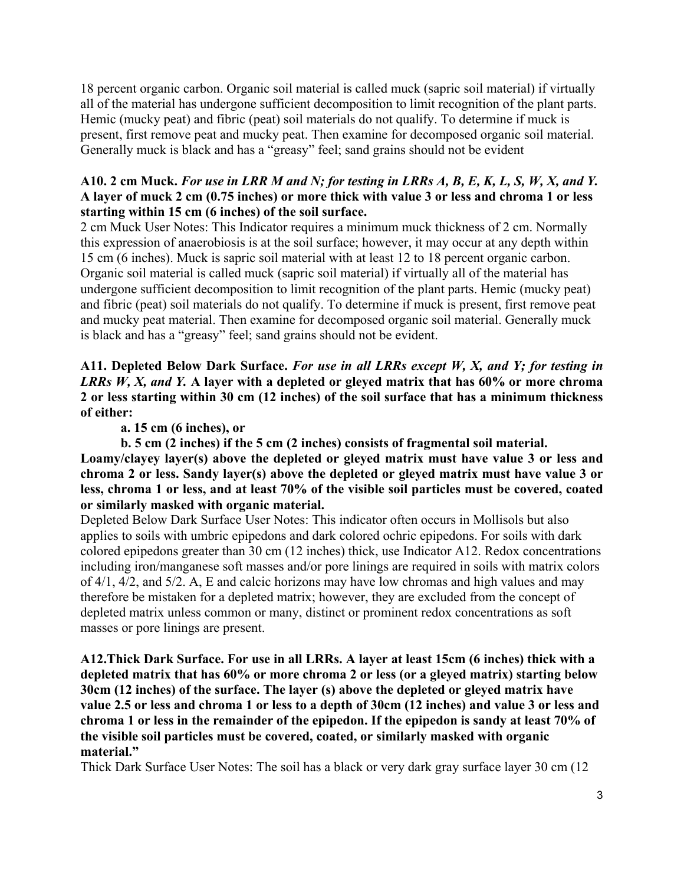18 percent organic carbon. Organic soil material is called muck (sapric soil material) if virtually all of the material has undergone sufficient decomposition to limit recognition of the plant parts. Hemic (mucky peat) and fibric (peat) soil materials do not qualify. To determine if muck is present, first remove peat and mucky peat. Then examine for decomposed organic soil material. Generally muck is black and has a "greasy" feel; sand grains should not be evident

# **A10. 2 cm Muck.** *For use in LRR M and N; for testing in LRRs A, B, E, K, L, S, W, X, and Y.* **A layer of muck 2 cm (0.75 inches) or more thick with value 3 or less and chroma 1 or less starting within 15 cm (6 inches) of the soil surface.**

2 cm Muck User Notes: This Indicator requires a minimum muck thickness of 2 cm. Normally this expression of anaerobiosis is at the soil surface; however, it may occur at any depth within 15 cm (6 inches). Muck is sapric soil material with at least 12 to 18 percent organic carbon. Organic soil material is called muck (sapric soil material) if virtually all of the material has undergone sufficient decomposition to limit recognition of the plant parts. Hemic (mucky peat) and fibric (peat) soil materials do not qualify. To determine if muck is present, first remove peat and mucky peat material. Then examine for decomposed organic soil material. Generally muck is black and has a "greasy" feel; sand grains should not be evident.

**A11. Depleted Below Dark Surface.** *For use in all LRRs except W, X, and Y; for testing in LRRs W, X, and Y.* **A layer with a depleted or gleyed matrix that has 60% or more chroma 2 or less starting within 30 cm (12 inches) of the soil surface that has a minimum thickness of either:** 

**a. 15 cm (6 inches), or** 

**b. 5 cm (2 inches) if the 5 cm (2 inches) consists of fragmental soil material.** 

**Loamy/clayey layer(s) above the depleted or gleyed matrix must have value 3 or less and chroma 2 or less. Sandy layer(s) above the depleted or gleyed matrix must have value 3 or less, chroma 1 or less, and at least 70% of the visible soil particles must be covered, coated or similarly masked with organic material.** 

Depleted Below Dark Surface User Notes: This indicator often occurs in Mollisols but also applies to soils with umbric epipedons and dark colored ochric epipedons. For soils with dark colored epipedons greater than 30 cm (12 inches) thick, use Indicator A12. Redox concentrations including iron/manganese soft masses and/or pore linings are required in soils with matrix colors of 4/1, 4/2, and 5/2. A, E and calcic horizons may have low chromas and high values and may therefore be mistaken for a depleted matrix; however, they are excluded from the concept of depleted matrix unless common or many, distinct or prominent redox concentrations as soft masses or pore linings are present.

**A12.Thick Dark Surface. For use in all LRRs. A layer at least 15cm (6 inches) thick with a depleted matrix that has 60% or more chroma 2 or less (or a gleyed matrix) starting below 30cm (12 inches) of the surface. The layer (s) above the depleted or gleyed matrix have value 2.5 or less and chroma 1 or less to a depth of 30cm (12 inches) and value 3 or less and chroma 1 or less in the remainder of the epipedon. If the epipedon is sandy at least 70% of the visible soil particles must be covered, coated, or similarly masked with organic material."** 

Thick Dark Surface User Notes: The soil has a black or very dark gray surface layer 30 cm (12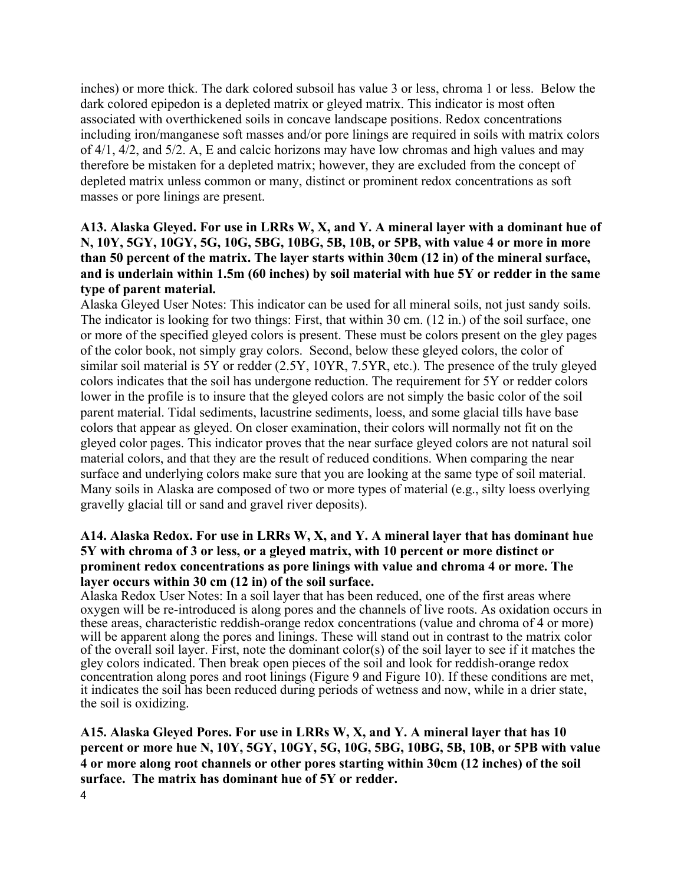inches) or more thick. The dark colored subsoil has value 3 or less, chroma 1 or less. Below the dark colored epipedon is a depleted matrix or gleyed matrix. This indicator is most often associated with overthickened soils in concave landscape positions. Redox concentrations including iron/manganese soft masses and/or pore linings are required in soils with matrix colors of 4/1, 4/2, and 5/2. A, E and calcic horizons may have low chromas and high values and may therefore be mistaken for a depleted matrix; however, they are excluded from the concept of depleted matrix unless common or many, distinct or prominent redox concentrations as soft masses or pore linings are present.

# **A13. Alaska Gleyed. For use in LRRs W, X, and Y. A mineral layer with a dominant hue of N, 10Y, 5GY, 10GY, 5G, 10G, 5BG, 10BG, 5B, 10B, or 5PB, with value 4 or more in more than 50 percent of the matrix. The layer starts within 30cm (12 in) of the mineral surface, and is underlain within 1.5m (60 inches) by soil material with hue 5Y or redder in the same type of parent material.**

Alaska Gleyed User Notes: This indicator can be used for all mineral soils, not just sandy soils. The indicator is looking for two things: First, that within 30 cm. (12 in.) of the soil surface, one or more of the specified gleyed colors is present. These must be colors present on the gley pages of the color book, not simply gray colors. Second, below these gleyed colors, the color of similar soil material is 5Y or redder (2.5Y, 10YR, 7.5YR, etc.). The presence of the truly gleyed colors indicates that the soil has undergone reduction. The requirement for 5Y or redder colors lower in the profile is to insure that the gleyed colors are not simply the basic color of the soil parent material. Tidal sediments, lacustrine sediments, loess, and some glacial tills have base colors that appear as gleyed. On closer examination, their colors will normally not fit on the gleyed color pages. This indicator proves that the near surface gleyed colors are not natural soil material colors, and that they are the result of reduced conditions. When comparing the near surface and underlying colors make sure that you are looking at the same type of soil material. Many soils in Alaska are composed of two or more types of material (e.g., silty loess overlying gravelly glacial till or sand and gravel river deposits).

# **A14. Alaska Redox. For use in LRRs W, X, and Y. A mineral layer that has dominant hue 5Y with chroma of 3 or less, or a gleyed matrix, with 10 percent or more distinct or prominent redox concentrations as pore linings with value and chroma 4 or more. The layer occurs within 30 cm (12 in) of the soil surface.**

Alaska Redox User Notes: In a soil layer that has been reduced, one of the first areas where oxygen will be re-introduced is along pores and the channels of live roots. As oxidation occurs in these areas, characteristic reddish-orange redox concentrations (value and chroma of 4 or more) will be apparent along the pores and linings. These will stand out in contrast to the matrix color of the overall soil layer. First, note the dominant color(s) of the soil layer to see if it matches the gley colors indicated. Then break open pieces of the soil and look for reddish-orange redox concentration along pores and root linings (Figure 9 and Figure 10). If these conditions are met, it indicates the soil has been reduced during periods of wetness and now, while in a drier state, the soil is oxidizing.

**A15. Alaska Gleyed Pores. For use in LRRs W, X, and Y. A mineral layer that has 10 percent or more hue N, 10Y, 5GY, 10GY, 5G, 10G, 5BG, 10BG, 5B, 10B, or 5PB with value 4 or more along root channels or other pores starting within 30cm (12 inches) of the soil surface. The matrix has dominant hue of 5Y or redder.**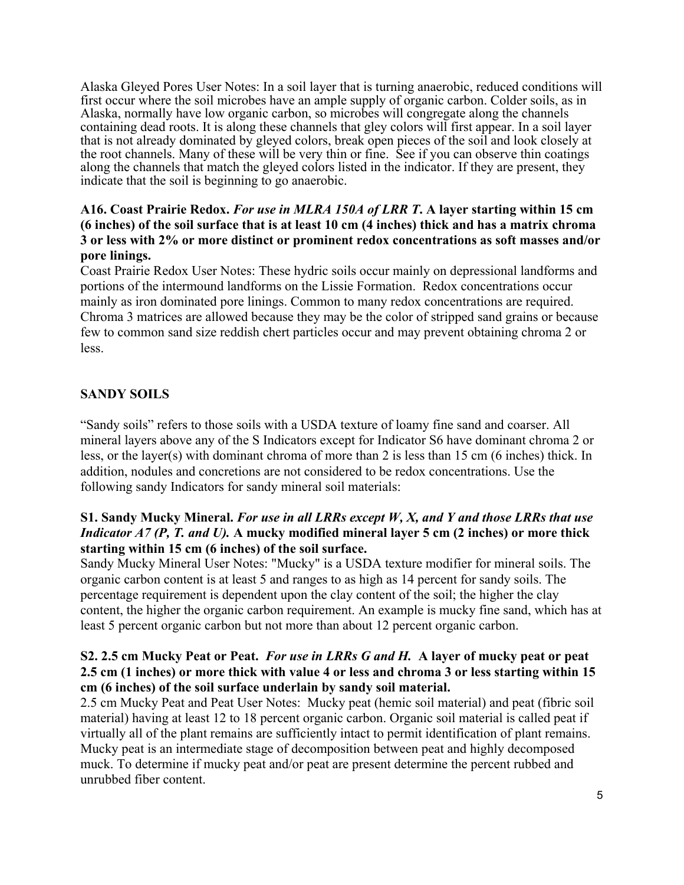Alaska Gleyed Pores User Notes: In a soil layer that is turning anaerobic, reduced conditions will first occur where the soil microbes have an ample supply of organic carbon. Colder soils, as in Alaska, normally have low organic carbon, so microbes will congregate along the channels containing dead roots. It is along these channels that gley colors will first appear. In a soil layer that is not already dominated by gleyed colors, break open pieces of the soil and look closely at the root channels. Many of these will be very thin or fine. See if you can observe thin coatings along the channels that match the gleyed colors listed in the indicator. If they are present, they indicate that the soil is beginning to go anaerobic.

# **A16. Coast Prairie Redox.** *For use in MLRA 150A of LRR T***. A layer starting within 15 cm (6 inches) of the soil surface that is at least 10 cm (4 inches) thick and has a matrix chroma 3 or less with 2% or more distinct or prominent redox concentrations as soft masses and/or pore linings.**

Coast Prairie Redox User Notes: These hydric soils occur mainly on depressional landforms and portions of the intermound landforms on the Lissie Formation. Redox concentrations occur mainly as iron dominated pore linings. Common to many redox concentrations are required. Chroma 3 matrices are allowed because they may be the color of stripped sand grains or because few to common sand size reddish chert particles occur and may prevent obtaining chroma 2 or less.

# **SANDY SOILS**

"Sandy soils" refers to those soils with a USDA texture of loamy fine sand and coarser. All mineral layers above any of the S Indicators except for Indicator S6 have dominant chroma 2 or less, or the layer(s) with dominant chroma of more than 2 is less than 15 cm (6 inches) thick. In addition, nodules and concretions are not considered to be redox concentrations. Use the following sandy Indicators for sandy mineral soil materials:

# **S1. Sandy Mucky Mineral.** *For use in all LRRs except W, X, and Y and those LRRs that use Indicator A7 (P, T. and U).* **A mucky modified mineral layer 5 cm (2 inches) or more thick starting within 15 cm (6 inches) of the soil surface.**

Sandy Mucky Mineral User Notes: "Mucky" is a USDA texture modifier for mineral soils. The organic carbon content is at least 5 and ranges to as high as 14 percent for sandy soils. The percentage requirement is dependent upon the clay content of the soil; the higher the clay content, the higher the organic carbon requirement. An example is mucky fine sand, which has at least 5 percent organic carbon but not more than about 12 percent organic carbon.

### **S2. 2.5 cm Mucky Peat or Peat.** *For use in LRRs G and H.* **A layer of mucky peat or peat 2.5 cm (1 inches) or more thick with value 4 or less and chroma 3 or less starting within 15 cm (6 inches) of the soil surface underlain by sandy soil material.**

2.5 cm Mucky Peat and Peat User Notes: Mucky peat (hemic soil material) and peat (fibric soil material) having at least 12 to 18 percent organic carbon. Organic soil material is called peat if virtually all of the plant remains are sufficiently intact to permit identification of plant remains. Mucky peat is an intermediate stage of decomposition between peat and highly decomposed muck. To determine if mucky peat and/or peat are present determine the percent rubbed and unrubbed fiber content.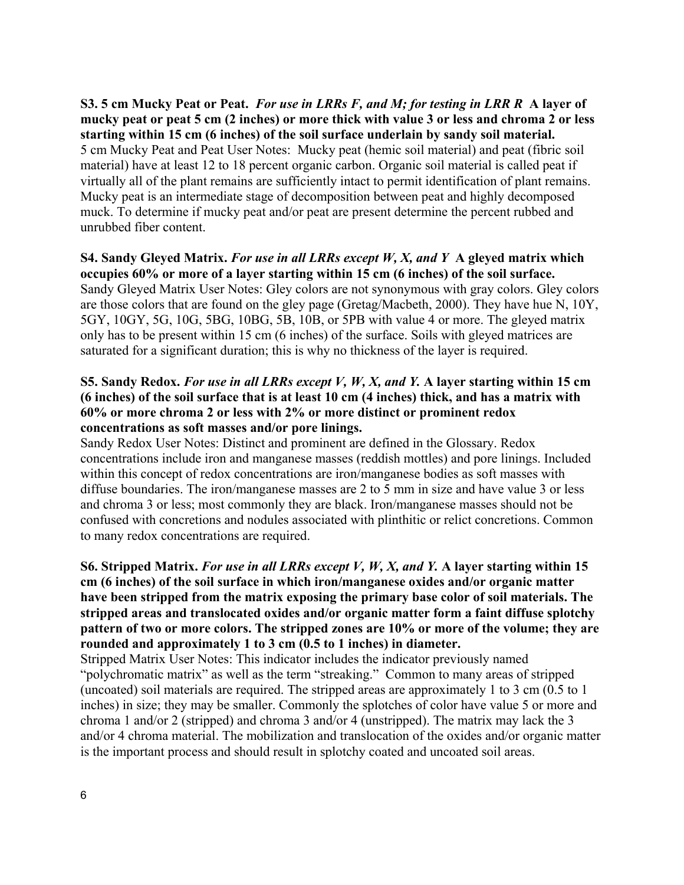**S3. 5 cm Mucky Peat or Peat.** *For use in LRRs F, and M; for testing in LRR R* **A layer of mucky peat or peat 5 cm (2 inches) or more thick with value 3 or less and chroma 2 or less starting within 15 cm (6 inches) of the soil surface underlain by sandy soil material.**  5 cm Mucky Peat and Peat User Notes: Mucky peat (hemic soil material) and peat (fibric soil material) have at least 12 to 18 percent organic carbon. Organic soil material is called peat if virtually all of the plant remains are sufficiently intact to permit identification of plant remains. Mucky peat is an intermediate stage of decomposition between peat and highly decomposed muck. To determine if mucky peat and/or peat are present determine the percent rubbed and unrubbed fiber content.

**S4. Sandy Gleyed Matrix.** *For use in all LRRs except W, X, and Y* **A gleyed matrix which occupies 60% or more of a layer starting within 15 cm (6 inches) of the soil surface.**  Sandy Gleyed Matrix User Notes: Gley colors are not synonymous with gray colors. Gley colors are those colors that are found on the gley page (Gretag/Macbeth, 2000). They have hue N, 10Y, 5GY, 10GY, 5G, 10G, 5BG, 10BG, 5B, 10B, or 5PB with value 4 or more. The gleyed matrix only has to be present within 15 cm (6 inches) of the surface. Soils with gleyed matrices are saturated for a significant duration; this is why no thickness of the layer is required.

## **S5. Sandy Redox.** *For use in all LRRs except V, W, X, and Y.* **A layer starting within 15 cm (6 inches) of the soil surface that is at least 10 cm (4 inches) thick, and has a matrix with 60% or more chroma 2 or less with 2% or more distinct or prominent redox concentrations as soft masses and/or pore linings.**

Sandy Redox User Notes: Distinct and prominent are defined in the Glossary. Redox concentrations include iron and manganese masses (reddish mottles) and pore linings. Included within this concept of redox concentrations are iron/manganese bodies as soft masses with diffuse boundaries. The iron/manganese masses are 2 to 5 mm in size and have value 3 or less and chroma 3 or less; most commonly they are black. Iron/manganese masses should not be confused with concretions and nodules associated with plinthitic or relict concretions. Common to many redox concentrations are required.

**S6. Stripped Matrix.** *For use in all LRRs except V, W, X, and Y.* **A layer starting within 15 cm (6 inches) of the soil surface in which iron/manganese oxides and/or organic matter have been stripped from the matrix exposing the primary base color of soil materials. The stripped areas and translocated oxides and/or organic matter form a faint diffuse splotchy pattern of two or more colors. The stripped zones are 10% or more of the volume; they are rounded and approximately 1 to 3 cm (0.5 to 1 inches) in diameter.** 

Stripped Matrix User Notes: This indicator includes the indicator previously named "polychromatic matrix" as well as the term "streaking." Common to many areas of stripped (uncoated) soil materials are required. The stripped areas are approximately 1 to 3 cm (0.5 to 1 inches) in size; they may be smaller. Commonly the splotches of color have value 5 or more and chroma 1 and/or 2 (stripped) and chroma 3 and/or 4 (unstripped). The matrix may lack the 3 and/or 4 chroma material. The mobilization and translocation of the oxides and/or organic matter is the important process and should result in splotchy coated and uncoated soil areas.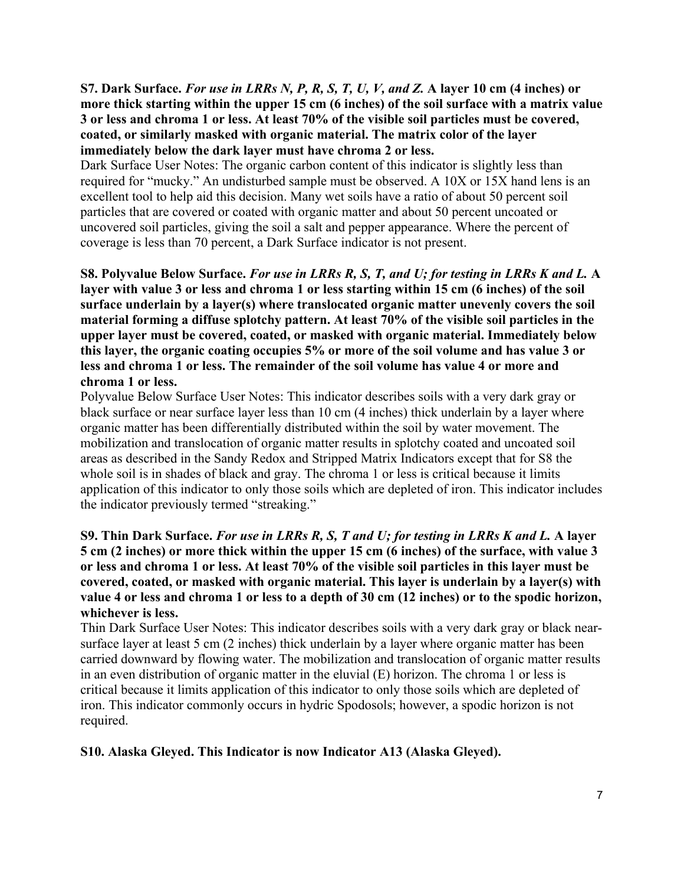**S7. Dark Surface.** *For use in LRRs N, P, R, S, T, U, V, and Z.* **A layer 10 cm (4 inches) or more thick starting within the upper 15 cm (6 inches) of the soil surface with a matrix value 3 or less and chroma 1 or less. At least 70% of the visible soil particles must be covered, coated, or similarly masked with organic material. The matrix color of the layer immediately below the dark layer must have chroma 2 or less.** 

Dark Surface User Notes: The organic carbon content of this indicator is slightly less than required for "mucky." An undisturbed sample must be observed. A 10X or 15X hand lens is an excellent tool to help aid this decision. Many wet soils have a ratio of about 50 percent soil particles that are covered or coated with organic matter and about 50 percent uncoated or uncovered soil particles, giving the soil a salt and pepper appearance. Where the percent of coverage is less than 70 percent, a Dark Surface indicator is not present.

**S8. Polyvalue Below Surface.** *For use in LRRs R, S, T, and U; for testing in LRRs K and L.* **A layer with value 3 or less and chroma 1 or less starting within 15 cm (6 inches) of the soil surface underlain by a layer(s) where translocated organic matter unevenly covers the soil material forming a diffuse splotchy pattern. At least 70% of the visible soil particles in the upper layer must be covered, coated, or masked with organic material. Immediately below this layer, the organic coating occupies 5% or more of the soil volume and has value 3 or less and chroma 1 or less. The remainder of the soil volume has value 4 or more and chroma 1 or less.** 

Polyvalue Below Surface User Notes: This indicator describes soils with a very dark gray or black surface or near surface layer less than 10 cm (4 inches) thick underlain by a layer where organic matter has been differentially distributed within the soil by water movement. The mobilization and translocation of organic matter results in splotchy coated and uncoated soil areas as described in the Sandy Redox and Stripped Matrix Indicators except that for S8 the whole soil is in shades of black and gray. The chroma 1 or less is critical because it limits application of this indicator to only those soils which are depleted of iron. This indicator includes the indicator previously termed "streaking."

**S9. Thin Dark Surface.** *For use in LRRs R, S, T and U; for testing in LRRs K and L.* **A layer 5 cm (2 inches) or more thick within the upper 15 cm (6 inches) of the surface, with value 3 or less and chroma 1 or less. At least 70% of the visible soil particles in this layer must be covered, coated, or masked with organic material. This layer is underlain by a layer(s) with value 4 or less and chroma 1 or less to a depth of 30 cm (12 inches) or to the spodic horizon, whichever is less.** 

Thin Dark Surface User Notes: This indicator describes soils with a very dark gray or black nearsurface layer at least 5 cm (2 inches) thick underlain by a layer where organic matter has been carried downward by flowing water. The mobilization and translocation of organic matter results in an even distribution of organic matter in the eluvial (E) horizon. The chroma 1 or less is critical because it limits application of this indicator to only those soils which are depleted of iron. This indicator commonly occurs in hydric Spodosols; however, a spodic horizon is not required.

# **S10. Alaska Gleyed. This Indicator is now Indicator A13 (Alaska Gleyed).**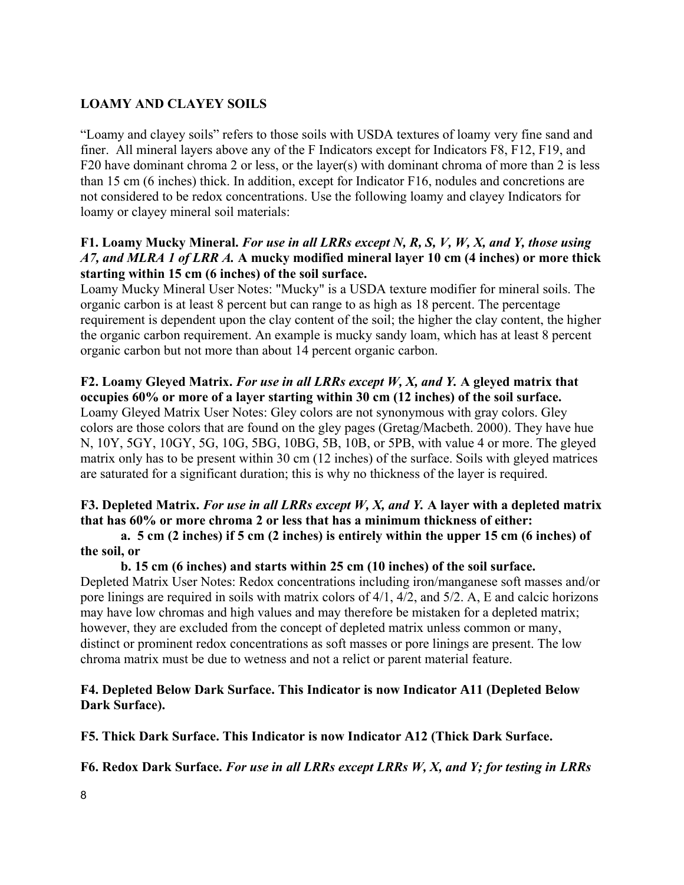# **LOAMY AND CLAYEY SOILS**

"Loamy and clayey soils" refers to those soils with USDA textures of loamy very fine sand and finer. All mineral layers above any of the F Indicators except for Indicators F8, F12, F19, and F20 have dominant chroma 2 or less, or the layer(s) with dominant chroma of more than 2 is less than 15 cm (6 inches) thick. In addition, except for Indicator F16, nodules and concretions are not considered to be redox concentrations. Use the following loamy and clayey Indicators for loamy or clayey mineral soil materials:

# **F1. Loamy Mucky Mineral.** *For use in all LRRs except N, R, S, V, W, X, and Y, those using A7, and MLRA 1 of LRR A.* **A mucky modified mineral layer 10 cm (4 inches) or more thick starting within 15 cm (6 inches) of the soil surface.**

Loamy Mucky Mineral User Notes: "Mucky" is a USDA texture modifier for mineral soils. The organic carbon is at least 8 percent but can range to as high as 18 percent. The percentage requirement is dependent upon the clay content of the soil; the higher the clay content, the higher the organic carbon requirement. An example is mucky sandy loam, which has at least 8 percent organic carbon but not more than about 14 percent organic carbon.

# **F2. Loamy Gleyed Matrix.** *For use in all LRRs except W, X, and Y.* **A gleyed matrix that occupies 60% or more of a layer starting within 30 cm (12 inches) of the soil surface.**

Loamy Gleyed Matrix User Notes: Gley colors are not synonymous with gray colors. Gley colors are those colors that are found on the gley pages (Gretag/Macbeth. 2000). They have hue N, 10Y, 5GY, 10GY, 5G, 10G, 5BG, 10BG, 5B, 10B, or 5PB, with value 4 or more. The gleyed matrix only has to be present within 30 cm (12 inches) of the surface. Soils with gleyed matrices are saturated for a significant duration; this is why no thickness of the layer is required.

# **F3. Depleted Matrix.** *For use in all LRRs except W, X, and Y.* **A layer with a depleted matrix that has 60% or more chroma 2 or less that has a minimum thickness of either:**

### **a. 5 cm (2 inches) if 5 cm (2 inches) is entirely within the upper 15 cm (6 inches) of the soil, or**

#### **b. 15 cm (6 inches) and starts within 25 cm (10 inches) of the soil surface.**

Depleted Matrix User Notes: Redox concentrations including iron/manganese soft masses and/or pore linings are required in soils with matrix colors of 4/1, 4/2, and 5/2. A, E and calcic horizons may have low chromas and high values and may therefore be mistaken for a depleted matrix; however, they are excluded from the concept of depleted matrix unless common or many, distinct or prominent redox concentrations as soft masses or pore linings are present. The low chroma matrix must be due to wetness and not a relict or parent material feature.

### **F4. Depleted Below Dark Surface. This Indicator is now Indicator A11 (Depleted Below Dark Surface).**

**F5. Thick Dark Surface. This Indicator is now Indicator A12 (Thick Dark Surface.** 

**F6. Redox Dark Surface.** *For use in all LRRs except LRRs W, X, and Y; for testing in LRRs*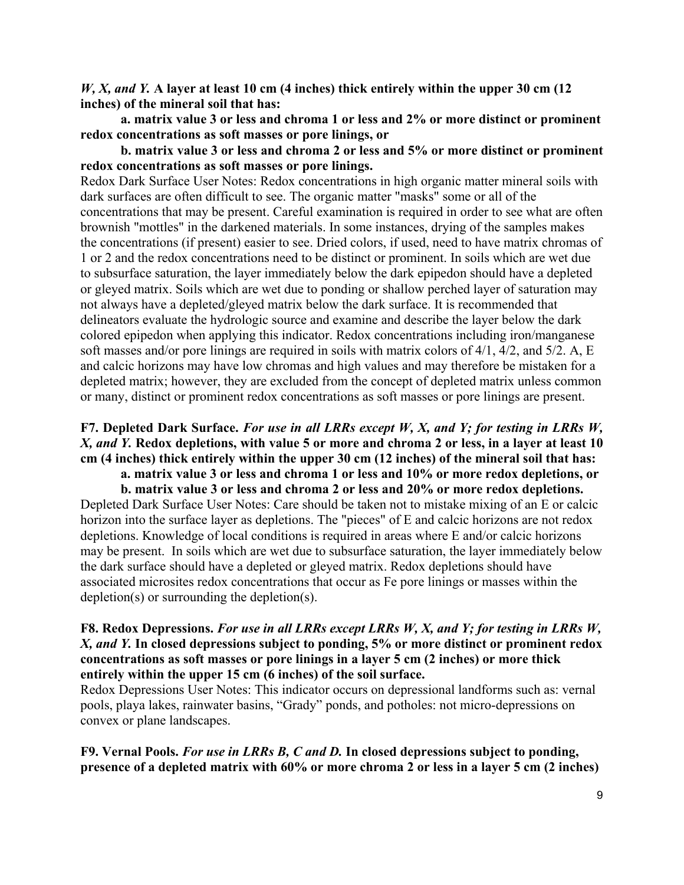*W, X, and Y.* **A layer at least 10 cm (4 inches) thick entirely within the upper 30 cm (12 inches) of the mineral soil that has:** 

 **a. matrix value 3 or less and chroma 1 or less and 2% or more distinct or prominent redox concentrations as soft masses or pore linings, or** 

 **b. matrix value 3 or less and chroma 2 or less and 5% or more distinct or prominent redox concentrations as soft masses or pore linings.** 

Redox Dark Surface User Notes: Redox concentrations in high organic matter mineral soils with dark surfaces are often difficult to see. The organic matter "masks" some or all of the concentrations that may be present. Careful examination is required in order to see what are often brownish "mottles" in the darkened materials. In some instances, drying of the samples makes the concentrations (if present) easier to see. Dried colors, if used, need to have matrix chromas of 1 or 2 and the redox concentrations need to be distinct or prominent. In soils which are wet due to subsurface saturation, the layer immediately below the dark epipedon should have a depleted or gleyed matrix. Soils which are wet due to ponding or shallow perched layer of saturation may not always have a depleted/gleyed matrix below the dark surface. It is recommended that delineators evaluate the hydrologic source and examine and describe the layer below the dark colored epipedon when applying this indicator. Redox concentrations including iron/manganese soft masses and/or pore linings are required in soils with matrix colors of 4/1, 4/2, and 5/2. A, E and calcic horizons may have low chromas and high values and may therefore be mistaken for a depleted matrix; however, they are excluded from the concept of depleted matrix unless common or many, distinct or prominent redox concentrations as soft masses or pore linings are present.

# **F7. Depleted Dark Surface.** *For use in all LRRs except W, X, and Y; for testing in LRRs W, X, and Y.* **Redox depletions, with value 5 or more and chroma 2 or less, in a layer at least 10 cm (4 inches) thick entirely within the upper 30 cm (12 inches) of the mineral soil that has:**

 **a. matrix value 3 or less and chroma 1 or less and 10% or more redox depletions, or** 

 **b. matrix value 3 or less and chroma 2 or less and 20% or more redox depletions.**  Depleted Dark Surface User Notes: Care should be taken not to mistake mixing of an E or calcic horizon into the surface layer as depletions. The "pieces" of E and calcic horizons are not redox depletions. Knowledge of local conditions is required in areas where E and/or calcic horizons may be present. In soils which are wet due to subsurface saturation, the layer immediately below the dark surface should have a depleted or gleyed matrix. Redox depletions should have associated microsites redox concentrations that occur as Fe pore linings or masses within the depletion(s) or surrounding the depletion(s).

# **F8. Redox Depressions.** *For use in all LRRs except LRRs W, X, and Y; for testing in LRRs W, X, and Y.* **In closed depressions subject to ponding, 5% or more distinct or prominent redox concentrations as soft masses or pore linings in a layer 5 cm (2 inches) or more thick entirely within the upper 15 cm (6 inches) of the soil surface.**

Redox Depressions User Notes: This indicator occurs on depressional landforms such as: vernal pools, playa lakes, rainwater basins, "Grady" ponds, and potholes: not micro-depressions on convex or plane landscapes.

**F9. Vernal Pools.** *For use in LRRs B, C and D.* **In closed depressions subject to ponding, presence of a depleted matrix with 60% or more chroma 2 or less in a layer 5 cm (2 inches)**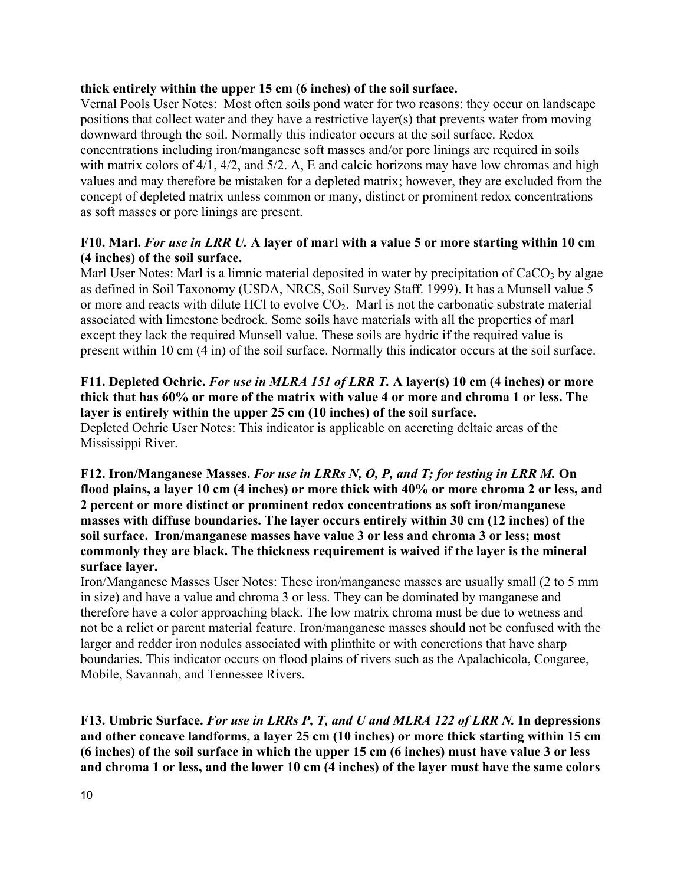### **thick entirely within the upper 15 cm (6 inches) of the soil surface.**

Vernal Pools User Notes: Most often soils pond water for two reasons: they occur on landscape positions that collect water and they have a restrictive layer(s) that prevents water from moving downward through the soil. Normally this indicator occurs at the soil surface. Redox concentrations including iron/manganese soft masses and/or pore linings are required in soils with matrix colors of 4/1, 4/2, and 5/2. A, E and calcic horizons may have low chromas and high values and may therefore be mistaken for a depleted matrix; however, they are excluded from the concept of depleted matrix unless common or many, distinct or prominent redox concentrations as soft masses or pore linings are present.

# **F10. Marl.** *For use in LRR U.* **A layer of marl with a value 5 or more starting within 10 cm (4 inches) of the soil surface.**

Marl User Notes: Marl is a limnic material deposited in water by precipitation of  $CaCO<sub>3</sub>$  by algae as defined in Soil Taxonomy (USDA, NRCS, Soil Survey Staff. 1999). It has a Munsell value 5 or more and reacts with dilute HCl to evolve  $CO<sub>2</sub>$ . Marl is not the carbonatic substrate material associated with limestone bedrock. Some soils have materials with all the properties of marl except they lack the required Munsell value. These soils are hydric if the required value is present within 10 cm (4 in) of the soil surface. Normally this indicator occurs at the soil surface.

# **F11. Depleted Ochric.** *For use in MLRA 151 of LRR T.* **A layer(s) 10 cm (4 inches) or more thick that has 60% or more of the matrix with value 4 or more and chroma 1 or less. The layer is entirely within the upper 25 cm (10 inches) of the soil surface.**

Depleted Ochric User Notes: This indicator is applicable on accreting deltaic areas of the Mississippi River.

**F12. Iron/Manganese Masses.** *For use in LRRs N, O, P, and T; for testing in LRR M.* **On flood plains, a layer 10 cm (4 inches) or more thick with 40% or more chroma 2 or less, and 2 percent or more distinct or prominent redox concentrations as soft iron/manganese masses with diffuse boundaries. The layer occurs entirely within 30 cm (12 inches) of the soil surface. Iron/manganese masses have value 3 or less and chroma 3 or less; most commonly they are black. The thickness requirement is waived if the layer is the mineral surface layer.** 

Iron/Manganese Masses User Notes: These iron/manganese masses are usually small (2 to 5 mm in size) and have a value and chroma 3 or less. They can be dominated by manganese and therefore have a color approaching black. The low matrix chroma must be due to wetness and not be a relict or parent material feature. Iron/manganese masses should not be confused with the larger and redder iron nodules associated with plinthite or with concretions that have sharp boundaries. This indicator occurs on flood plains of rivers such as the Apalachicola, Congaree, Mobile, Savannah, and Tennessee Rivers.

**F13. Umbric Surface.** *For use in LRRs P, T, and U and MLRA 122 of LRR N.* **In depressions and other concave landforms, a layer 25 cm (10 inches) or more thick starting within 15 cm (6 inches) of the soil surface in which the upper 15 cm (6 inches) must have value 3 or less and chroma 1 or less, and the lower 10 cm (4 inches) of the layer must have the same colors**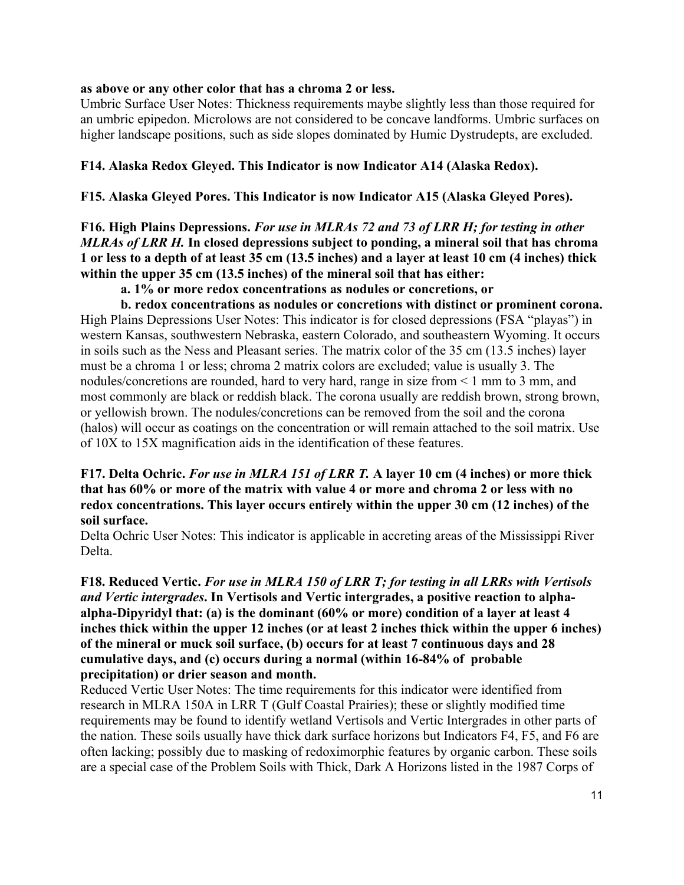#### **as above or any other color that has a chroma 2 or less.**

Umbric Surface User Notes: Thickness requirements maybe slightly less than those required for an umbric epipedon. Microlows are not considered to be concave landforms. Umbric surfaces on higher landscape positions, such as side slopes dominated by Humic Dystrudepts, are excluded.

#### **F14. Alaska Redox Gleyed. This Indicator is now Indicator A14 (Alaska Redox).**

#### **F15. Alaska Gleyed Pores. This Indicator is now Indicator A15 (Alaska Gleyed Pores).**

**F16. High Plains Depressions.** *For use in MLRAs 72 and 73 of LRR H; for testing in other MLRAs of LRR H.* **In closed depressions subject to ponding, a mineral soil that has chroma 1 or less to a depth of at least 35 cm (13.5 inches) and a layer at least 10 cm (4 inches) thick within the upper 35 cm (13.5 inches) of the mineral soil that has either:** 

 **a. 1% or more redox concentrations as nodules or concretions, or** 

 **b. redox concentrations as nodules or concretions with distinct or prominent corona.**  High Plains Depressions User Notes: This indicator is for closed depressions (FSA "playas") in western Kansas, southwestern Nebraska, eastern Colorado, and southeastern Wyoming. It occurs in soils such as the Ness and Pleasant series. The matrix color of the 35 cm (13.5 inches) layer must be a chroma 1 or less; chroma 2 matrix colors are excluded; value is usually 3. The nodules/concretions are rounded, hard to very hard, range in size from < 1 mm to 3 mm, and most commonly are black or reddish black. The corona usually are reddish brown, strong brown, or yellowish brown. The nodules/concretions can be removed from the soil and the corona (halos) will occur as coatings on the concentration or will remain attached to the soil matrix. Use of 10X to 15X magnification aids in the identification of these features.

### **F17. Delta Ochric.** *For use in MLRA 151 of LRR T.* **A layer 10 cm (4 inches) or more thick that has 60% or more of the matrix with value 4 or more and chroma 2 or less with no redox concentrations. This layer occurs entirely within the upper 30 cm (12 inches) of the soil surface.**

Delta Ochric User Notes: This indicator is applicable in accreting areas of the Mississippi River Delta.

**F18. Reduced Vertic.** *For use in MLRA 150 of LRR T; for testing in all LRRs with Vertisols and Vertic intergrades***. In Vertisols and Vertic intergrades, a positive reaction to alphaalpha-Dipyridyl that: (a) is the dominant (60% or more) condition of a layer at least 4 inches thick within the upper 12 inches (or at least 2 inches thick within the upper 6 inches) of the mineral or muck soil surface, (b) occurs for at least 7 continuous days and 28 cumulative days, and (c) occurs during a normal (within 16-84% of probable precipitation) or drier season and month.**

Reduced Vertic User Notes: The time requirements for this indicator were identified from research in MLRA 150A in LRR T (Gulf Coastal Prairies); these or slightly modified time requirements may be found to identify wetland Vertisols and Vertic Intergrades in other parts of the nation. These soils usually have thick dark surface horizons but Indicators F4, F5, and F6 are often lacking; possibly due to masking of redoximorphic features by organic carbon. These soils are a special case of the Problem Soils with Thick, Dark A Horizons listed in the 1987 Corps of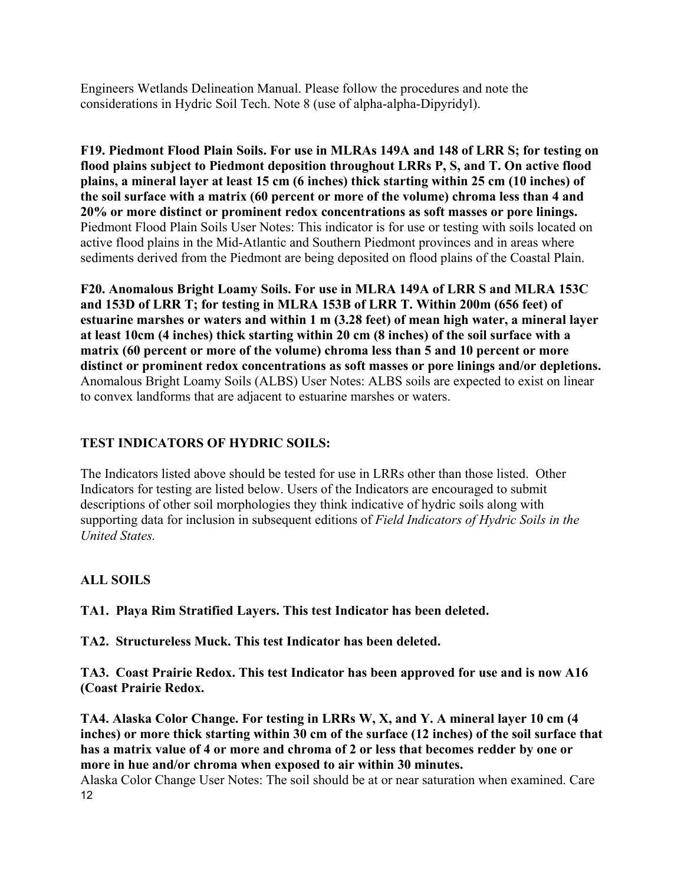Engineers Wetlands Delineation Manual. Please follow the procedures and note the considerations in Hydric Soil Tech. Note 8 (use of alpha-alpha-Dipyridyl).

**F19. Piedmont Flood Plain Soils. For use in MLRAs 149A and 148 of LRR S; for testing on flood plains subject to Piedmont deposition throughout LRRs P, S, and T. On active flood plains, a mineral layer at least 15 cm (6 inches) thick starting within 25 cm (10 inches) of the soil surface with a matrix (60 percent or more of the volume) chroma less than 4 and 20% or more distinct or prominent redox concentrations as soft masses or pore linings.**  Piedmont Flood Plain Soils User Notes: This indicator is for use or testing with soils located on active flood plains in the Mid-Atlantic and Southern Piedmont provinces and in areas where sediments derived from the Piedmont are being deposited on flood plains of the Coastal Plain.

**F20. Anomalous Bright Loamy Soils. For use in MLRA 149A of LRR S and MLRA 153C and 153D of LRR T; for testing in MLRA 153B of LRR T. Within 200m (656 feet) of estuarine marshes or waters and within 1 m (3.28 feet) of mean high water, a mineral layer at least 10cm (4 inches) thick starting within 20 cm (8 inches) of the soil surface with a matrix (60 percent or more of the volume) chroma less than 5 and 10 percent or more distinct or prominent redox concentrations as soft masses or pore linings and/or depletions.**  Anomalous Bright Loamy Soils (ALBS) User Notes: ALBS soils are expected to exist on linear to convex landforms that are adjacent to estuarine marshes or waters.

# **TEST INDICATORS OF HYDRIC SOILS:**

The Indicators listed above should be tested for use in LRRs other than those listed. Other Indicators for testing are listed below. Users of the Indicators are encouraged to submit descriptions of other soil morphologies they think indicative of hydric soils along with supporting data for inclusion in subsequent editions of *Field Indicators of Hydric Soils in the United States.*

# **ALL SOILS**

**TA1. Playa Rim Stratified Layers. This test Indicator has been deleted.** 

**TA2. Structureless Muck. This test Indicator has been deleted.** 

**TA3. Coast Prairie Redox. This test Indicator has been approved for use and is now A16 (Coast Prairie Redox.** 

**TA4. Alaska Color Change. For testing in LRRs W, X, and Y. A mineral layer 10 cm (4 inches) or more thick starting within 30 cm of the surface (12 inches) of the soil surface that has a matrix value of 4 or more and chroma of 2 or less that becomes redder by one or more in hue and/or chroma when exposed to air within 30 minutes.** 

12 Alaska Color Change User Notes: The soil should be at or near saturation when examined. Care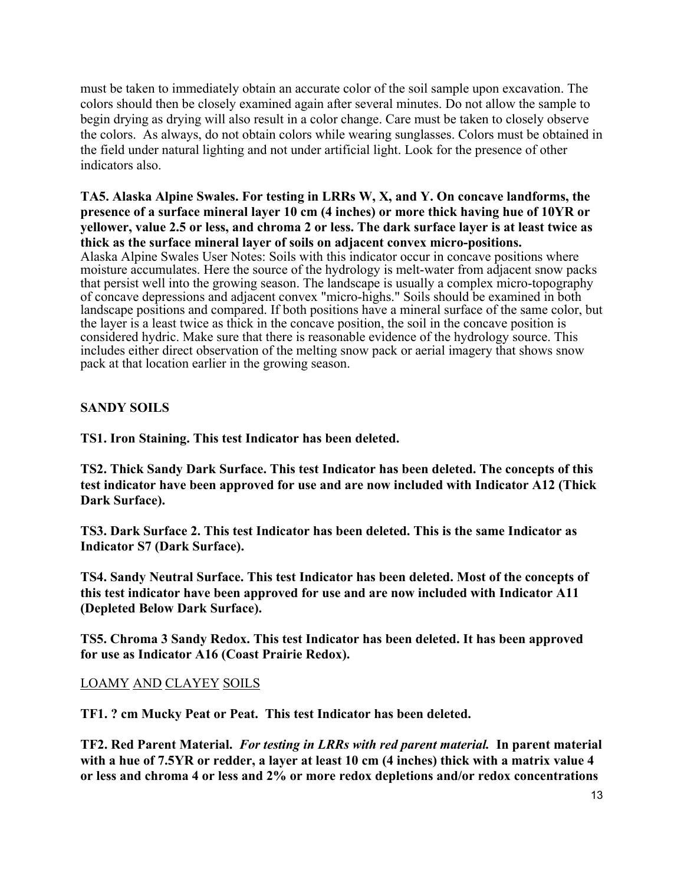must be taken to immediately obtain an accurate color of the soil sample upon excavation. The colors should then be closely examined again after several minutes. Do not allow the sample to begin drying as drying will also result in a color change. Care must be taken to closely observe the colors. As always, do not obtain colors while wearing sunglasses. Colors must be obtained in the field under natural lighting and not under artificial light. Look for the presence of other indicators also.

#### **TA5. Alaska Alpine Swales. For testing in LRRs W, X, and Y. On concave landforms, the presence of a surface mineral layer 10 cm (4 inches) or more thick having hue of 10YR or yellower, value 2.5 or less, and chroma 2 or less. The dark surface layer is at least twice as thick as the surface mineral layer of soils on adjacent convex micro-positions.**

Alaska Alpine Swales User Notes: Soils with this indicator occur in concave positions where moisture accumulates. Here the source of the hydrology is melt-water from adjacent snow packs that persist well into the growing season. The landscape is usually a complex micro-topography of concave depressions and adjacent convex "micro-highs." Soils should be examined in both landscape positions and compared. If both positions have a mineral surface of the same color, but the layer is a least twice as thick in the concave position, the soil in the concave position is considered hydric. Make sure that there is reasonable evidence of the hydrology source. This includes either direct observation of the melting snow pack or aerial imagery that shows snow pack at that location earlier in the growing season.

# **SANDY SOILS**

**TS1. Iron Staining. This test Indicator has been deleted.** 

**TS2. Thick Sandy Dark Surface. This test Indicator has been deleted. The concepts of this test indicator have been approved for use and are now included with Indicator A12 (Thick Dark Surface).** 

**TS3. Dark Surface 2. This test Indicator has been deleted. This is the same Indicator as Indicator S7 (Dark Surface).** 

**TS4. Sandy Neutral Surface. This test Indicator has been deleted. Most of the concepts of this test indicator have been approved for use and are now included with Indicator A11 (Depleted Below Dark Surface).** 

**TS5. Chroma 3 Sandy Redox. This test Indicator has been deleted. It has been approved for use as Indicator A16 (Coast Prairie Redox).** 

# LOAMY AND CLAYEY SOILS

**TF1. ? cm Mucky Peat or Peat. This test Indicator has been deleted.** 

**TF2. Red Parent Material.** *For testing in LRRs with red parent material.* **In parent material with a hue of 7.5YR or redder, a layer at least 10 cm (4 inches) thick with a matrix value 4 or less and chroma 4 or less and 2% or more redox depletions and/or redox concentrations**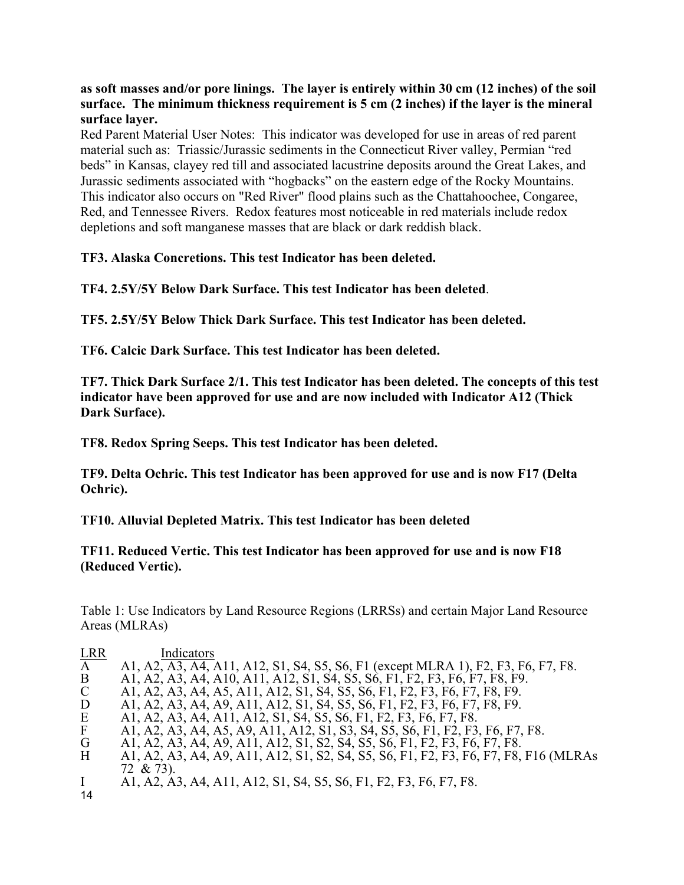**as soft masses and/or pore linings. The layer is entirely within 30 cm (12 inches) of the soil surface. The minimum thickness requirement is 5 cm (2 inches) if the layer is the mineral surface layer.** 

Red Parent Material User Notes: This indicator was developed for use in areas of red parent material such as: Triassic/Jurassic sediments in the Connecticut River valley, Permian "red beds" in Kansas, clayey red till and associated lacustrine deposits around the Great Lakes, and Jurassic sediments associated with "hogbacks" on the eastern edge of the Rocky Mountains. This indicator also occurs on "Red River" flood plains such as the Chattahoochee, Congaree, Red, and Tennessee Rivers. Redox features most noticeable in red materials include redox depletions and soft manganese masses that are black or dark reddish black.

**TF3. Alaska Concretions. This test Indicator has been deleted.** 

**TF4. 2.5Y/5Y Below Dark Surface. This test Indicator has been deleted**.

**TF5. 2.5Y/5Y Below Thick Dark Surface. This test Indicator has been deleted.** 

**TF6. Calcic Dark Surface. This test Indicator has been deleted.** 

**TF7. Thick Dark Surface 2/1. This test Indicator has been deleted. The concepts of this test indicator have been approved for use and are now included with Indicator A12 (Thick Dark Surface).** 

**TF8. Redox Spring Seeps. This test Indicator has been deleted.** 

**TF9. Delta Ochric. This test Indicator has been approved for use and is now F17 (Delta Ochric).** 

**TF10. Alluvial Depleted Matrix. This test Indicator has been deleted** 

**TF11. Reduced Vertic. This test Indicator has been approved for use and is now F18 (Reduced Vertic).** 

Table 1: Use Indicators by Land Resource Regions (LRRSs) and certain Major Land Resource Areas (MLRAs)

| <b>LRR</b>    | Indicators                                                                           |
|---------------|--------------------------------------------------------------------------------------|
|               |                                                                                      |
| $\mathbf{A}$  | A1, A2, A3, A4, A11, A12, S1, S4, S5, S6, F1 (except MLRA 1), F2, F3, F6, F7, F8.    |
| B             | A1, A2, A3, A4, A10, A11, A12, S1, S4, S5, S6, F1, F2, F3, F6, F7, F8, F9.           |
| $\mathcal{C}$ | A1, A2, A3, A4, A5, A11, A12, S1, S4, S5, S6, F1, F2, F3, F6, F7, F8, F9.            |
| D             | A1, A2, A3, A4, A9, A11, A12, S1, S4, S5, S6, F1, F2, F3, F6, F7, F8, F9.            |
| E             | A1, A2, A3, A4, A11, A12, S1, S4, S5, S6, F1, F2, F3, F6, F7, F8.                    |
| $\mathbf{F}$  | A1, A2, A3, A4, A5, A9, A11, A12, S1, S3, S4, S5, S6, F1, F2, F3, F6, F7, F8.        |
| G             | A1, A2, A3, A4, A9, A11, A12, S1, S2, S4, S5, S6, F1, F2, F3, F6, F7, F8.            |
| H             | A1, A2, A3, A4, A9, A11, A12, S1, S2, S4, S5, S6, F1, F2, F3, F6, F7, F8, F16 (MLRAs |
|               | 72 & 73).                                                                            |
|               | A1, A2, A3, A4, A11, A12, S1, S4, S5, S6, F1, F2, F3, F6, F7, F8.                    |
| 14            |                                                                                      |